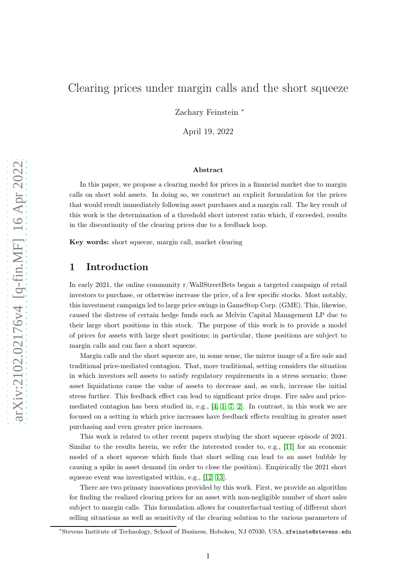# Clearing prices under margin calls and the short squeeze

Zachary Feinstein <sup>∗</sup>

April 19, 2022

#### Abstract

In this paper, we propose a clearing model for prices in a financial market due to margin calls on short sold assets. In doing so, we construct an explicit formulation for the prices that would result immediately following asset purchases and a margin call. The key result of this work is the determination of a threshold short interest ratio which, if exceeded, results in the discontinuity of the clearing prices due to a feedback loop.

Key words: short squeeze, margin call, market clearing

### 1 Introduction

In early 2021, the online community r/WallStreetBets began a targeted campaign of retail investors to purchase, or otherwise increase the price, of a few specific stocks. Most notably, this investment campaign led to large price swings in GameStop Corp. (GME). This, likewise, caused the distress of certain hedge funds such as Melvin Capital Management LP due to their large short positions in this stock. The purpose of this work is to provide a model of prices for assets with large short positions; in particular, those positions are subject to margin calls and can face a short squeeze.

Margin calls and the short squeeze are, in some sense, the mirror image of a fire sale and traditional price-mediated contagion. That, more traditional, setting considers the situation in which investors sell assets to satisfy regulatory requirements in a stress scenario; those asset liquidations cause the value of assets to decrease and, as such, increase the initial stress further. This feedback effect can lead to significant price drops. Fire sales and pricemediated contagion has been studied in, e.g.,  $[4, 1, 7, 2]$  $[4, 1, 7, 2]$  $[4, 1, 7, 2]$  $[4, 1, 7, 2]$ . In contrast, in this work we are focused on a setting in which price increases have feedback effects resulting in greater asset purchasing and even greater price increases.

This work is related to other recent papers studying the short squeeze episode of 2021. Similar to the results herein, we refer the interested reader to, e.g., [\[11\]](#page-7-4) for an economic model of a short squeeze which finds that short selling can lead to an asset bubble by causing a spike in asset demand (in order to close the position). Empirically the 2021 short squeeze event was investigated within, e.g., [\[12,](#page-7-5) [13\]](#page-7-6).

There are two primary innovations provided by this work. First, we provide an algorithm for finding the realized clearing prices for an asset with non-negligible number of short sales subject to margin calls. This formulation allows for counterfactual testing of different short selling situations as well as sensitivity of the clearing solution to the various parameters of

<sup>∗</sup>Stevens Institute of Technology, School of Business, Hoboken, NJ 07030, USA, zfeinste@stevens.edu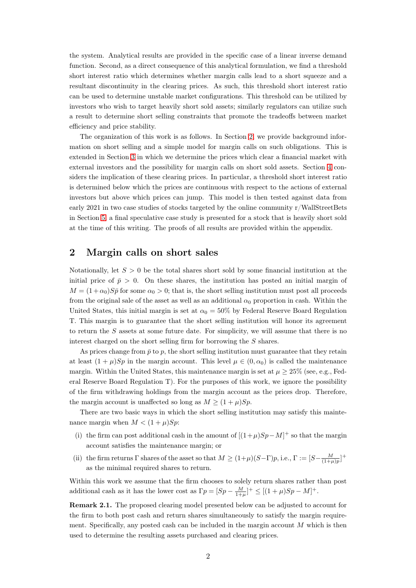the system. Analytical results are provided in the specific case of a linear inverse demand function. Second, as a direct consequence of this analytical formulation, we find a threshold short interest ratio which determines whether margin calls lead to a short squeeze and a resultant discontinuity in the clearing prices. As such, this threshold short interest ratio can be used to determine unstable market configurations. This threshold can be utilized by investors who wish to target heavily short sold assets; similarly regulators can utilize such a result to determine short selling constraints that promote the tradeoffs between market efficiency and price stability.

The organization of this work is as follows. In Section [2,](#page-1-0) we provide background information on short selling and a simple model for margin calls on such obligations. This is extended in Section [3](#page-2-0) in which we determine the prices which clear a financial market with external investors and the possibility for margin calls on short sold assets. Section [4](#page-3-0) considers the implication of these clearing prices. In particular, a threshold short interest ratio is determined below which the prices are continuous with respect to the actions of external investors but above which prices can jump. This model is then tested against data from early 2021 in two case studies of stocks targeted by the online community r/WallStreetBets in Section [5;](#page-5-0) a final speculative case study is presented for a stock that is heavily short sold at the time of this writing. The proofs of all results are provided within the appendix.

### <span id="page-1-0"></span>2 Margin calls on short sales

Notationally, let  $S > 0$  be the total shares short sold by some financial institution at the initial price of  $\bar{p} > 0$ . On these shares, the institution has posted an initial margin of  $M = (1 + \alpha_0)S\overline{p}$  for some  $\alpha_0 > 0$ ; that is, the short selling institution must post all proceeds from the original sale of the asset as well as an additional  $\alpha_0$  proportion in cash. Within the United States, this initial margin is set at  $\alpha_0 = 50\%$  by Federal Reserve Board Regulation T. This margin is to guarantee that the short selling institution will honor its agreement to return the  $S$  assets at some future date. For simplicity, we will assume that there is no interest charged on the short selling firm for borrowing the S shares.

As prices change from  $\bar{p}$  to p, the short selling institution must guarantee that they retain at least  $(1 + \mu)Sp$  in the margin account. This level  $\mu \in (0, \alpha_0)$  is called the maintenance margin. Within the United States, this maintenance margin is set at  $\mu \geq 25\%$  (see, e.g., Federal Reserve Board Regulation T). For the purposes of this work, we ignore the possibility of the firm withdrawing holdings from the margin account as the prices drop. Therefore, the margin account is unaffected so long as  $M \ge (1 + \mu)Sp$ .

There are two basic ways in which the short selling institution may satisfy this maintenance margin when  $M < (1 + \mu)Sp$ :

- (i) the firm can post additional cash in the amount of  $[(1+\mu)Sp-M]$ <sup>+</sup> so that the margin account satisfies the maintenance margin; or
- (ii) the firm returns  $\Gamma$  shares of the asset so that  $M \ge (1+\mu)(S-\Gamma)p$ , i.e.,  $\Gamma := [S-\frac{M}{(1+\mu)p}]^+$ as the minimal required shares to return.

Within this work we assume that the firm chooses to solely return shares rather than post additional cash as it has the lower cost as  $\Gamma p = [Sp - \frac{M}{1+\mu}]^+ \leq [(1+\mu)Sp - M]^+$ .

Remark 2.1. The proposed clearing model presented below can be adjusted to account for the firm to both post cash and return shares simultaneously to satisfy the margin requirement. Specifically, any posted cash can be included in the margin account  $M$  which is then used to determine the resulting assets purchased and clearing prices.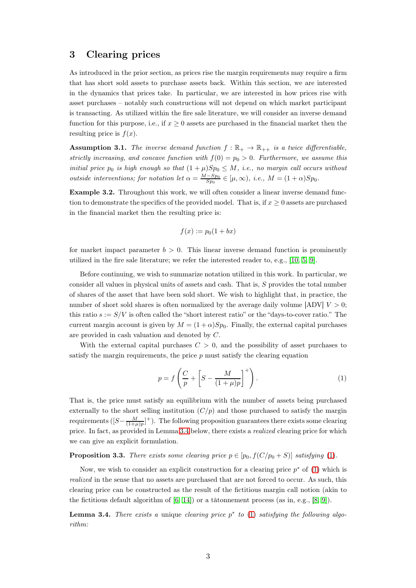### <span id="page-2-0"></span>3 Clearing prices

As introduced in the prior section, as prices rise the margin requirements may require a firm that has short sold assets to purchase assets back. Within this section, we are interested in the dynamics that prices take. In particular, we are interested in how prices rise with asset purchases – notably such constructions will not depend on which market participant is transacting. As utilized within the fire sale literature, we will consider an inverse demand function for this purpose, i.e., if  $x \geq 0$  assets are purchased in the financial market then the resulting price is  $f(x)$ .

<span id="page-2-5"></span>**Assumption 3.1.** The inverse demand function  $f : \mathbb{R}_+ \to \mathbb{R}_{++}$  is a twice differentiable, strictly increasing, and concave function with  $f(0) = p_0 > 0$ . Furthermore, we assume this initial price  $p_0$  is high enough so that  $(1 + \mu)Sp_0 \leq M$ , i.e., no margin call occurs without *outside interventions; for notation let*  $\alpha = \frac{M - Sp_0}{Sp_0} \in [\mu, \infty)$ , *i.e.*,  $M = (1 + \alpha)Sp_0$ .

<span id="page-2-3"></span>Example 3.2. Throughout this work, we will often consider a linear inverse demand function to demonstrate the specifics of the provided model. That is, if  $x \geq 0$  assets are purchased in the financial market then the resulting price is:

$$
f(x) := p_0(1 + bx)
$$

for market impact parameter  $b > 0$ . This linear inverse demand function is prominently utilized in the fire sale literature; we refer the interested reader to, e.g., [\[10,](#page-7-7) [5,](#page-7-8) [9\]](#page-7-9).

Before continuing, we wish to summarize notation utilized in this work. In particular, we consider all values in physical units of assets and cash. That is, S provides the total number of shares of the asset that have been sold short. We wish to highlight that, in practice, the number of short sold shares is often normalized by the average daily volume  $[ADV]$   $V > 0$ ; this ratio  $s := S/V$  is often called the "short interest ratio" or the "days-to-cover ratio." The current margin account is given by  $M = (1 + \alpha)Sp_0$ . Finally, the external capital purchases are provided in cash valuation and denoted by C.

With the external capital purchases  $C > 0$ , and the possibility of asset purchases to satisfy the margin requirements, the price  $p$  must satisfy the clearing equation

<span id="page-2-2"></span>
$$
p = f\left(\frac{C}{p} + \left[S - \frac{M}{(1+\mu)p}\right]^+\right). \tag{1}
$$

That is, the price must satisfy an equilibrium with the number of assets being purchased externally to the short selling institution  $(C/p)$  and those purchased to satisfy the margin requirements ( $[S - \frac{M}{(1+\mu)p}]^+$ ). The following proposition guarantees there exists some clearing price. In fact, as provided in Lemma [3.4](#page-2-1) below, there exists a realized clearing price for which we can give an explicit formulation.

### <span id="page-2-4"></span>**Proposition 3.3.** There exists some clearing price  $p \in [p_0, f(C/p_0 + S)]$  satisfying [\(1\)](#page-2-2).

Now, we wish to consider an explicit construction for a clearing price  $p^*$  of [\(1\)](#page-2-2) which is realized in the sense that no assets are purchased that are not forced to occur. As such, this clearing price can be constructed as the result of the fictitious margin call notion (akin to the fictitious default algorithm of [\[6,](#page-7-10) [14\]](#page-7-11)) or a tâtonnement process (as in, e.g., [\[8,](#page-7-12) [9\]](#page-7-9)).

<span id="page-2-1"></span>**Lemma 3.4.** There exists a unique clearing price  $p^*$  to [\(1\)](#page-2-2) satisfying the following algorithm: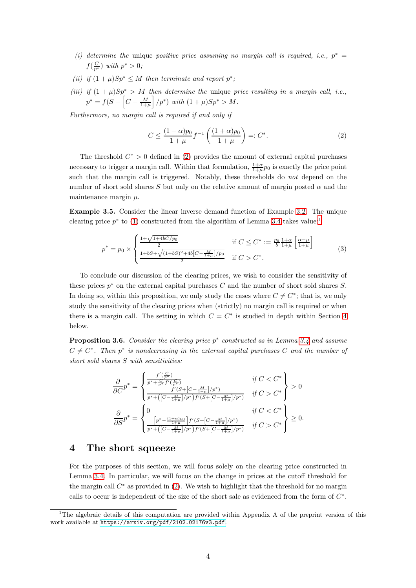- (i) determine the unique positive price assuming no margin call is required, i.e.,  $p^* =$  $f(\frac{C}{p^*})$  with  $p^* > 0$ ;
- (ii) if  $(1 + \mu)Sp^* \leq M$  then terminate and report  $p^*$ ;
- (iii) if  $(1 + \mu)Sp^* > M$  then determine the unique price resulting in a margin call, i.e.,  $p^* = f(S + \left[ C - \frac{M}{1+\mu} \right] / p^*)$  with  $(1+\mu)Sp^* > M$ .

Furthermore, no margin call is required if and only if

<span id="page-3-1"></span>
$$
C \le \frac{(1+\alpha)p_0}{1+\mu} f^{-1} \left( \frac{(1+\alpha)p_0}{1+\mu} \right) =: C^*.
$$
 (2)

The threshold  $C^* > 0$  defined in [\(2\)](#page-3-1) provides the amount of external capital purchases necessary to trigger a margin call. Within that formulation,  $\frac{1+\alpha}{1+\mu}p_0$  is exactly the price point such that the margin call is triggered. Notably, these thresholds do not depend on the number of short sold shares S but only on the relative amount of margin posted  $\alpha$  and the maintenance margin  $\mu$ .

Example 3.5. Consider the linear inverse demand function of Example [3.2.](#page-2-3) The unique clearing price  $p^*$  to [\(1\)](#page-2-2) constructed from the algorithm of Lemma [3.4](#page-2-1) takes value:<sup>[1](#page-3-2)</sup>

$$
p^* = p_0 \times \begin{cases} \frac{1 + \sqrt{1 + 4bC/p_0}}{2} & \text{if } C \leq C^* := \frac{p_0}{b} \frac{1 + \alpha}{1 + \mu} \left[ \frac{\alpha - \mu}{1 + \mu} \right] \\ \frac{1 + bS + \sqrt{(1 + bS)^2 + 4b[C - \frac{M}{1 + \mu}]/p_0}}{2} & \text{if } C > C^*. \end{cases}
$$
(3)

To conclude our discussion of the clearing prices, we wish to consider the sensitivity of these prices  $p^*$  on the external capital purchases  $C$  and the number of short sold shares  $S$ . In doing so, within this proposition, we only study the cases where  $C \neq C^*$ ; that is, we only study the sensitivity of the clearing prices when (strictly) no margin call is required or when there is a margin call. The setting in which  $C = C^*$  is studied in depth within Section [4](#page-3-0) below.

<span id="page-3-3"></span>**Proposition 3.6.** Consider the clearing price  $p^*$  constructed as in Lemma [3.4](#page-2-1) and assume  $C \neq C^*$ . Then  $p^*$  is nondecreasing in the external capital purchases C and the number of short sold shares  $S$  with sensitivities:

$$
\frac{\partial}{\partial C}p^* = \begin{cases} \frac{f'(\frac{C}{p^*})}{p^* + \frac{C}{p^*}f'(\frac{C}{p^*})} & \text{if } C < C^* \\ \frac{f'(S + [C - \frac{M}{1 + \mu}]/p^*)}{p^* + ([C - \frac{M}{1 + \mu}]/p^*)f'(S + [C - \frac{M}{1 + \mu}]/p^*)} & \text{if } C > C^* \end{cases} > 0
$$
  

$$
\frac{\partial}{\partial S}p^* = \begin{cases} 0 & \text{if } C < C^* \\ \frac{p^* - \frac{(1 + \alpha)p_0}{1 + \mu} \cdot f'(S + [C - \frac{M}{1 + \mu}]/p^*)}{p^* + ([C - \frac{M}{1 + \mu}]/p^*)f'(S + [C - \frac{M}{1 + \mu}]/p^*)} & \text{if } C > C^* \end{cases} \ge 0.
$$

### <span id="page-3-0"></span>4 The short squeeze

For the purposes of this section, we will focus solely on the clearing price constructed in Lemma [3.4.](#page-2-1) In particular, we will focus on the change in prices at the cutoff threshold for the margin call  $C^*$  as provided in  $(2)$ . We wish to highlight that the threshold for no margin calls to occur is independent of the size of the short sale as evidenced from the form of  $C^*$ .

<span id="page-3-2"></span><sup>&</sup>lt;sup>1</sup>The algebraic details of this computation are provided within Appendix A of the preprint version of this work available at <https://arxiv.org/pdf/2102.02176v3.pdf>.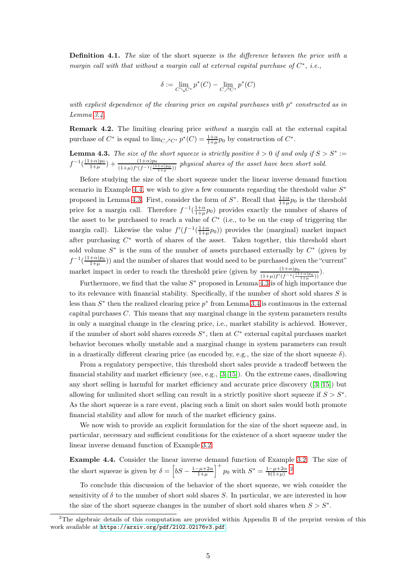**Definition 4.1.** The size of the short squeeze is the difference between the price with a margin call with that without a margin call at external capital purchase of  $C^*$ , i.e.,

$$
\delta := \lim_{C \searrow C^*} p^*(C) - \lim_{C \nearrow C^*} p^*(C)
$$

with explicit dependence of the clearing price on capital purchases with  $p^*$  constructed as in Lemma [3.4.](#page-2-1)

Remark 4.2. The limiting clearing price without a margin call at the external capital purchase of  $C^*$  is equal to  $\lim_{C \nearrow C^*} p^*(C) = \frac{1+\alpha}{1+\mu} p_0$  by construction of  $C^*$ .

<span id="page-4-1"></span>**Lemma 4.3.** The size of the short squeeze is strictly positive  $\delta > 0$  if and only if  $S > S^* :=$  $f^{-1}(\frac{(1+\alpha)p_0}{1+\mu})+\frac{(1+\alpha)p_0}{(1+\mu)f'(f^{-1}(\frac{(1+\alpha)p_0}{1+\mu}))}$  physical shares of the asset have been short sold.

Before studying the size of the short squeeze under the linear inverse demand function scenario in Example [4.4,](#page-4-0) we wish to give a few comments regarding the threshold value  $S^*$ proposed in Lemma [4.3.](#page-4-1) First, consider the form of  $S^*$ . Recall that  $\frac{1+\alpha}{1+\mu}p_0$  is the threshold price for a margin call. Therefore  $f^{-1}(\frac{1+\alpha}{1+\mu}p_0)$  provides exactly the number of shares of the asset to be purchased to reach a value of  $C^*$  (i.e., to be on the cusp of triggering the margin call). Likewise the value  $f'(f^{-1}(\frac{1+\alpha}{1+\mu}p_0))$  provides the (marginal) market impact after purchasing  $C^*$  worth of shares of the asset. Taken together, this threshold short sold volume  $S^*$  is the sum of the number of assets purchased externally by  $C^*$  (given by  $f^{-1}(\frac{(1+\alpha)p_0}{1+\mu})$  and the number of shares that would need to be purchased given the "current" market impact in order to reach the threshold price (given by  $\frac{(1+\alpha)p_0}{(1+\mu)f'(f^{-1}(\frac{(1+\alpha)p_0}{1+\mu}))}$ ).

Furthermore, we find that the value  $S^*$  proposed in Lemma [4.3](#page-4-1) is of high importance due to its relevance with financial stability. Specifically, if the number of short sold shares  $S$  is less than  $S^*$  then the realized clearing price  $p^*$  from Lemma [3.4](#page-2-1) is continuous in the external capital purchases  $C$ . This means that any marginal change in the system parameters results in only a marginal change in the clearing price, i.e., market stability is achieved. However, if the number of short sold shares exceeds  $S^*$ , then at  $C^*$  external capital purchases market behavior becomes wholly unstable and a marginal change in system parameters can result in a drastically different clearing price (as encoded by, e.g., the size of the short squeeze  $\delta$ ).

From a regulatory perspective, this threshold short sales provide a tradeoff between the financial stability and market efficiency (see, e.g., [\[3,](#page-7-13) [15\]](#page-7-14)). On the extreme cases, disallowing any short selling is harmful for market efficiency and accurate price discovery ([\[3,](#page-7-13) [15\]](#page-7-14)) but allowing for unlimited short selling can result in a strictly positive short squeeze if  $S > S^*$ . As the short squeeze is a rare event, placing such a limit on short sales would both promote financial stability and allow for much of the market efficiency gains.

We now wish to provide an explicit formulation for the size of the short squeeze and, in particular, necessary and sufficient conditions for the existence of a short squeeze under the linear inverse demand function of Example [3.2.](#page-2-3)

<span id="page-4-0"></span>Example 4.4. Consider the linear inverse demand function of Example [3.2.](#page-2-3) The size of the short squeeze is given by  $\delta = \left[ bS - \frac{1-\mu+2\alpha}{1+\mu} \right]^+ p_0$  $\delta = \left[ bS - \frac{1-\mu+2\alpha}{1+\mu} \right]^+ p_0$  $\delta = \left[ bS - \frac{1-\mu+2\alpha}{1+\mu} \right]^+ p_0$  with  $S^* = \frac{1-\mu+2\alpha}{b(1+\mu)}$ .

To conclude this discussion of the behavior of the short squeeze, we wish consider the sensitivity of  $\delta$  to the number of short sold shares S. In particular, we are interested in how the size of the short squeeze changes in the number of short sold shares when  $S > S^*$ .

<span id="page-4-2"></span><sup>&</sup>lt;sup>2</sup>The algebraic details of this computation are provided within Appendix B of the preprint version of this work available at <https://arxiv.org/pdf/2102.02176v3.pdf>.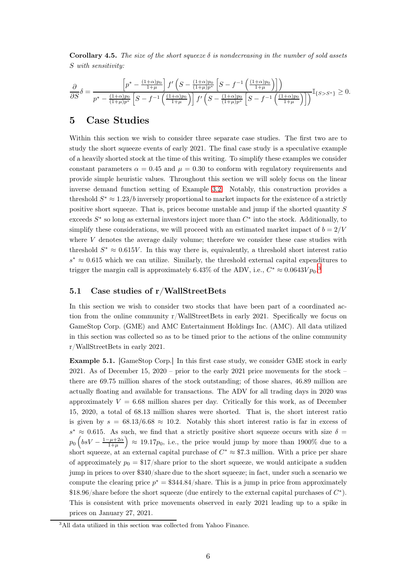<span id="page-5-3"></span>Corollary 4.5. The size of the short squeeze  $\delta$  is nondecreasing in the number of sold assets S with sensitivity:

$$
\frac{\partial}{\partial S}\delta = \frac{\left[p^* - \frac{(1+\alpha)p_0}{1+\mu}\right]f'\left(S - \frac{(1+\alpha)p_0}{(1+\mu)p^*}\left[S - f^{-1}\left(\frac{(1+\alpha)p_0}{1+\mu}\right)\right]\right)}{p^* - \frac{(1+\alpha)p_0}{(1+\mu)p^*}\left[S - f^{-1}\left(\frac{(1+\alpha)p_0}{1+\mu}\right)\right]f'\left(S - \frac{(1+\alpha)p_0}{(1+\mu)p^*}\left[S - f^{-1}\left(\frac{(1+\alpha)p_0}{1+\mu}\right)\right]\right)}\mathbb{I}_{\{S > S^*\}} \ge 0.
$$

### <span id="page-5-0"></span>5 Case Studies

Within this section we wish to consider three separate case studies. The first two are to study the short squeeze events of early 2021. The final case study is a speculative example of a heavily shorted stock at the time of this writing. To simplify these examples we consider constant parameters  $\alpha = 0.45$  and  $\mu = 0.30$  to conform with regulatory requirements and provide simple heuristic values. Throughout this section we will solely focus on the linear inverse demand function setting of Example [3.2.](#page-2-3) Notably, this construction provides a threshold  $S^* \approx 1.23/b$  inversely proportional to market impacts for the existence of a strictly positive short squeeze. That is, prices become unstable and jump if the shorted quantity S exceeds  $S^*$  so long as external investors inject more than  $C^*$  into the stock. Additionally, to simplify these considerations, we will proceed with an estimated market impact of  $b = 2/V$ where  $V$  denotes the average daily volume; therefore we consider these case studies with threshold  $S^* \approx 0.615V$ . In this way there is, equivalently, a threshold short interest ratio  $s^*$  ≈ 0.615 which we can utilize. Similarly, the threshold external capital expenditures to trigger the margin call is approximately 6.4[3](#page-5-1)% of the ADV, i.e.,  $C^* \approx 0.0643 V p_0$ .<sup>3</sup>

### 5.1 Case studies of r/WallStreetBets

In this section we wish to consider two stocks that have been part of a coordinated action from the online community r/WallStreetBets in early 2021. Specifically we focus on GameStop Corp. (GME) and AMC Entertainment Holdings Inc. (AMC). All data utilized in this section was collected so as to be timed prior to the actions of the online community r/WallStreetBets in early 2021.

<span id="page-5-2"></span>Example 5.1. [GameStop Corp.] In this first case study, we consider GME stock in early 2021. As of December 15, 2020 – prior to the early 2021 price movements for the stock – there are 69.75 million shares of the stock outstanding; of those shares, 46.89 million are actually floating and available for transactions. The ADV for all trading days in 2020 was approximately  $V = 6.68$  million shares per day. Critically for this work, as of December 15, 2020, a total of 68.13 million shares were shorted. That is, the short interest ratio is given by  $s = 68.13/6.68 \approx 10.2$ . Notably this short interest ratio is far in excess of  $s^* \approx 0.615$ . As such, we find that a strictly positive short squeeze occurs with size  $\delta =$  $p_0\left(bsV - \frac{1-\mu+2\alpha}{1+\mu}\right) \approx 19.17p_0$ , i.e., the price would jump by more than 1900% due to a short squeeze, at an external capital purchase of  $C^* \approx $7.3$  million. With a price per share of approximately  $p_0 = $17/\text{share}$  prior to the short squeeze, we would anticipate a sudden jump in prices to over \$340/share due to the short squeeze; in fact, under such a scenario we compute the clearing price  $p^* = $344.84/\text{share}$ . This is a jump in price from approximately  $$18.96/share before the short squeeze (due entirely to the external capital purchases of  $C^*$ ).$ This is consistent with price movements observed in early 2021 leading up to a spike in prices on January 27, 2021.

<span id="page-5-1"></span><sup>&</sup>lt;sup>3</sup>All data utilized in this section was collected from Yahoo Finance.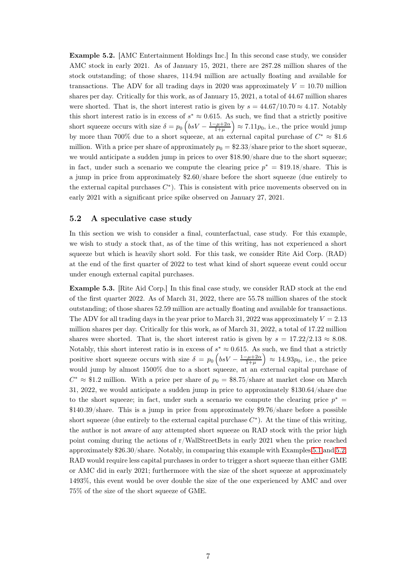<span id="page-6-0"></span>Example 5.2. [AMC Entertainment Holdings Inc.] In this second case study, we consider AMC stock in early 2021. As of January 15, 2021, there are 287.28 million shares of the stock outstanding; of those shares, 114.94 million are actually floating and available for transactions. The ADV for all trading days in 2020 was approximately  $V = 10.70$  million shares per day. Critically for this work, as of January 15, 2021, a total of 44.67 million shares were shorted. That is, the short interest ratio is given by  $s = 44.67/10.70 \approx 4.17$ . Notably this short interest ratio is in excess of  $s^* \approx 0.615$ . As such, we find that a strictly positive short squeeze occurs with size  $\delta = p_0 \left( bsV - \frac{1-\mu+2\alpha}{1+\mu} \right) \approx 7.11p_0$ , i.e., the price would jump by more than 700% due to a short squeeze, at an external capital purchase of  $C^* \approx $1.6$ million. With a price per share of approximately  $p_0 = $2.33/\text{share}$  prior to the short squeeze, we would anticipate a sudden jump in prices to over \$18.90/share due to the short squeeze; in fact, under such a scenario we compute the clearing price  $p^* = \frac{19.18}{\text{share}}$ . This is a jump in price from approximately \$2.60/share before the short squeeze (due entirely to the external capital purchases  $C^*$ ). This is consistent with price movements observed on in early 2021 with a significant price spike observed on January 27, 2021.

#### 5.2 A speculative case study

In this section we wish to consider a final, counterfactual, case study. For this example, we wish to study a stock that, as of the time of this writing, has not experienced a short squeeze but which is heavily short sold. For this task, we consider Rite Aid Corp. (RAD) at the end of the first quarter of 2022 to test what kind of short squeeze event could occur under enough external capital purchases.

Example 5.3. [Rite Aid Corp.] In this final case study, we consider RAD stock at the end of the first quarter 2022. As of March 31, 2022, there are 55.78 million shares of the stock outstanding; of those shares 52.59 million are actually floating and available for transactions. The ADV for all trading days in the year prior to March 31, 2022 was approximately  $V = 2.13$ million shares per day. Critically for this work, as of March 31, 2022, a total of 17.22 million shares were shorted. That is, the short interest ratio is given by  $s = 17.22/2.13 \approx 8.08$ . Notably, this short interest ratio is in excess of  $s^* \approx 0.615$ . As such, we find that a strictly positive short squeeze occurs with size  $\delta = p_0 \left(bsV - \frac{1-\mu+2\alpha}{1+\mu}\right) \approx 14.93p_0$ , i.e., the price would jump by almost 1500% due to a short squeeze, at an external capital purchase of  $C^* \approx $1.2$  million. With a price per share of  $p_0 = $8.75/\text{share}$  at market close on March 31, 2022, we would anticipate a sudden jump in price to approximately \$130.64/share due to the short squeeze; in fact, under such a scenario we compute the clearing price  $p^* =$ \$140.39/share. This is a jump in price from approximately \$9.76/share before a possible short squeeze (due entirely to the external capital purchase  $C^*$ ). At the time of this writing, the author is not aware of any attempted short squeeze on RAD stock with the prior high point coming during the actions of r/WallStreetBets in early 2021 when the price reached approximately \$26.30/share. Notably, in comparing this example with Examples [5.1](#page-5-2) and [5.2,](#page-6-0) RAD would require less capital purchases in order to trigger a short squeeze than either GME or AMC did in early 2021; furthermore with the size of the short squeeze at approximately 1493%, this event would be over double the size of the one experienced by AMC and over 75% of the size of the short squeeze of GME.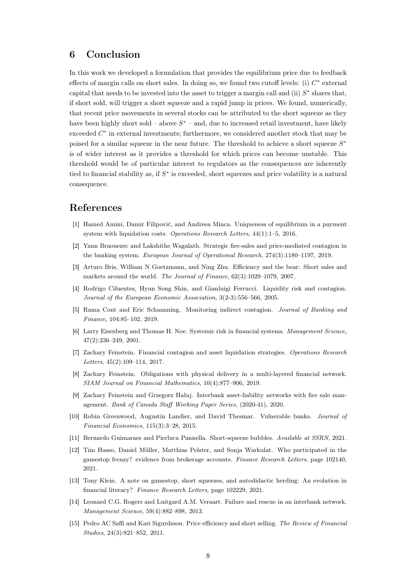# 6 Conclusion

In this work we developed a formulation that provides the equilibrium price due to feedback effects of margin calls on short sales. In doing so, we found two cutoff levels: (i)  $C^*$  external capital that needs to be invested into the asset to trigger a margin call and (ii)  $S^*$  shares that, if short sold, will trigger a short squeeze and a rapid jump in prices. We found, numerically, that recent price movements in several stocks can be attributed to the short squeeze as they have been highly short sold – above  $S^*$  – and, due to increased retail investment, have likely exceeded  $C^*$  in external investments; furthermore, we considered another stock that may be poised for a similar squeeze in the near future. The threshold to achieve a short squeeze  $S^*$ is of wider interest as it provides a threshold for which prices can become unstable. This threshold would be of particular interest to regulators as the consequences are inherently tied to financial stability as, if S<sup>\*</sup> is exceeded, short squeezes and price volatility is a natural consequence.

## <span id="page-7-1"></span>References

- <span id="page-7-3"></span>[1] Hamed Amini, Damir Filipović, and Andreea Minca. Uniqueness of equilibrium in a payment system with liquidation costs. Operations Research Letters, 44(1):1–5, 2016.
- <span id="page-7-13"></span>[2] Yann Braouezec and Lakshithe Wagalath. Strategic fire-sales and price-mediated contagion in the banking system. European Journal of Operational Research, 274(3):1180–1197, 2019.
- <span id="page-7-0"></span>[3] Arturo Bris, William N Goetzmann, and Ning Zhu. Efficiency and the bear: Short sales and markets around the world. The Journal of Finance, 62(3):1029–1079, 2007.
- <span id="page-7-8"></span>[4] Rodrigo Cifuentes, Hyun Song Shin, and Gianluigi Ferrucci. Liquidity risk and contagion. Journal of the European Economic Association, 3(2-3):556–566, 2005.
- <span id="page-7-10"></span>[5] Rama Cont and Eric Schaanning. Monitoring indirect contagion. Journal of Banking and Finance, 104:85–102, 2019.
- <span id="page-7-2"></span>[6] Larry Eisenberg and Thomas H. Noe. Systemic risk in financial systems. Management Science, 47(2):236–249, 2001.
- [7] Zachary Feinstein. Financial contagion and asset liquidation strategies. Operations Research Letters, 45(2):109–114, 2017.
- <span id="page-7-12"></span><span id="page-7-9"></span>[8] Zachary Feinstein. Obligations with physical delivery in a multi-layered financial network. SIAM Journal on Financial Mathematics, 10(4):877–906, 2019.
- [9] Zachary Feinstein and Grzegorz Hałaj. Interbank asset-liability networks with fire sale management. Bank of Canada Staff Working Paper Series, (2020-41), 2020.
- <span id="page-7-7"></span>[10] Robin Greenwood, Augustin Landier, and David Thesmar. Vulnerable banks. Journal of Financial Economics, 115(3):3–28, 2015.
- <span id="page-7-5"></span><span id="page-7-4"></span>[11] Bernardo Guimaraes and Pierluca Pannella. Short-squeeze bubbles. Available at SSRN, 2021.
- [12] Tim Hasso, Daniel Müller, Matthias Pelster, and Sonja Warkulat. Who participated in the gamestop frenzy? evidence from brokerage accounts. Finance Research Letters, page 102140, 2021.
- <span id="page-7-11"></span><span id="page-7-6"></span>[13] Tony Klein. A note on gamestop, short squeezes, and autodidactic herding: An evolution in financial literacy? Finance Research Letters, page 102229, 2021.
- [14] Leonard C.G. Rogers and Luitgard A.M. Veraart. Failure and rescue in an interbank network. Management Science, 59(4):882–898, 2013.
- <span id="page-7-14"></span>[15] Pedro AC Saffi and Kari Sigurdsson. Price efficiency and short selling. The Review of Financial Studies, 24(3):821–852, 2011.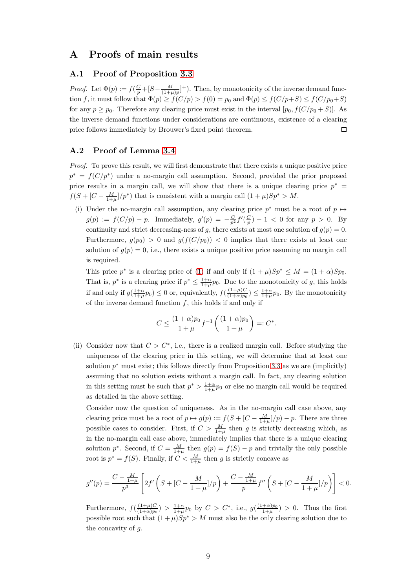### A Proofs of main results

#### A.1 Proof of Proposition [3.3](#page-2-4)

*Proof.* Let  $\Phi(p) := f(\frac{C}{p} + [S - \frac{M}{(1+\mu)p}]^+)$ . Then, by monotonicity of the inverse demand function f, it must follow that  $\Phi(p) \ge f(C/p) > f(0) = p_0$  and  $\Phi(p) \le f(C/p+S) \le f(C/p_0+S)$ for any  $p \geq p_0$ . Therefore any clearing price must exist in the interval  $[p_0, f(C/p_0 + S)]$ . As the inverse demand functions under considerations are continuous, existence of a clearing price follows immediately by Brouwer's fixed point theorem.  $\Box$ 

#### A.2 Proof of Lemma [3.4](#page-2-1)

Proof. To prove this result, we will first demonstrate that there exists a unique positive price  $p^* = f(C/p^*)$  under a no-margin call assumption. Second, provided the prior proposed price results in a margin call, we will show that there is a unique clearing price  $p^* =$  $f(S + [C - \frac{M}{1+\mu}]/p^*)$  that is consistent with a margin call  $(1+\mu)Sp^* > M$ .

(i) Under the no-margin call assumption, any clearing price  $p^*$  must be a root of  $p \mapsto$  $g(p) := f(C/p) - p$ . Immediately,  $g'(p) = -\frac{C}{p^2} f'(\frac{C}{p}) - 1 < 0$  for any  $p > 0$ . By continuity and strict decreasing-ness of g, there exists at most one solution of  $g(p) = 0$ . Furthermore,  $g(p_0) > 0$  and  $g(f(C/p_0)) < 0$  implies that there exists at least one solution of  $g(p) = 0$ , i.e., there exists a unique positive price assuming no margin call is required.

This price  $p^*$  is a clearing price of [\(1\)](#page-2-2) if and only if  $(1 + \mu)Sp^* \leq M = (1 + \alpha)Sp_0$ . That is,  $p^*$  is a clearing price if  $p^* \leq \frac{1+\alpha}{1+\mu}p_0$ . Due to the monotonicity of g, this holds if and only if  $g(\frac{1+\alpha}{1+\mu}p_0) \leq 0$  or, equivalently,  $f(\frac{(1+\mu)C}{(1+\alpha)p_0})$  $\frac{(1+\mu)C}{(1+\alpha)p_0}$   $\leq \frac{1+\alpha}{1+\mu}p_0$ . By the monotonicity of the inverse demand function  $f$ , this holds if and only if

$$
C\leq \frac{(1+\alpha)p_0}{1+\mu}f^{-1}\left(\frac{(1+\alpha)p_0}{1+\mu}\right)=:C^*.
$$

<span id="page-8-0"></span>(ii) Consider now that  $C > C^*$ , i.e., there is a realized margin call. Before studying the uniqueness of the clearing price in this setting, we will determine that at least one solution  $p^*$  must exist; this follows directly from Proposition [3.3](#page-2-4) as we are (implicitly) assuming that no solution exists without a margin call. In fact, any clearing solution in this setting must be such that  $p^* > \frac{1+\alpha}{1+\mu} p_0$  or else no margin call would be required as detailed in the above setting.

Consider now the question of uniqueness. As in the no-margin call case above, any clearing price must be a root of  $p \mapsto g(p) := f(S + [C - \frac{M}{1+\mu}]/p) - p$ . There are three possible cases to consider. First, if  $C > \frac{M}{1+\mu}$  then g is strictly decreasing which, as in the no-margin call case above, immediately implies that there is a unique clearing solution  $p^*$ . Second, if  $C = \frac{M}{1+\mu}$  then  $g(p) = f(S) - p$  and trivially the only possible root is  $p^* = f(S)$ . Finally, if  $C < \frac{M}{1+\mu}$  then g is strictly concave as

$$
g''(p) = \frac{C - \frac{M}{1+\mu}}{p^3} \left[ 2f'\left( S + [C - \frac{M}{1+\mu}]/p \right) + \frac{C - \frac{M}{1+\mu}}{p} f''\left( S + [C - \frac{M}{1+\mu}]/p \right) \right] < 0.
$$

Furthermore,  $f\left(\frac{(1+\mu)C}{(1+\alpha)n_0}\right)$  $\frac{(1+\mu)C}{(1+\alpha)p_0}$  >  $\frac{1+\alpha}{1+\mu}p_0$  by  $C > C^*$ , i.e.,  $g(\frac{(1+\alpha)p_0}{1+\mu}) > 0$ . Thus the first possible root such that  $(1 + \mu)Sp^* > M$  must also be the only clearing solution due to the concavity of g.